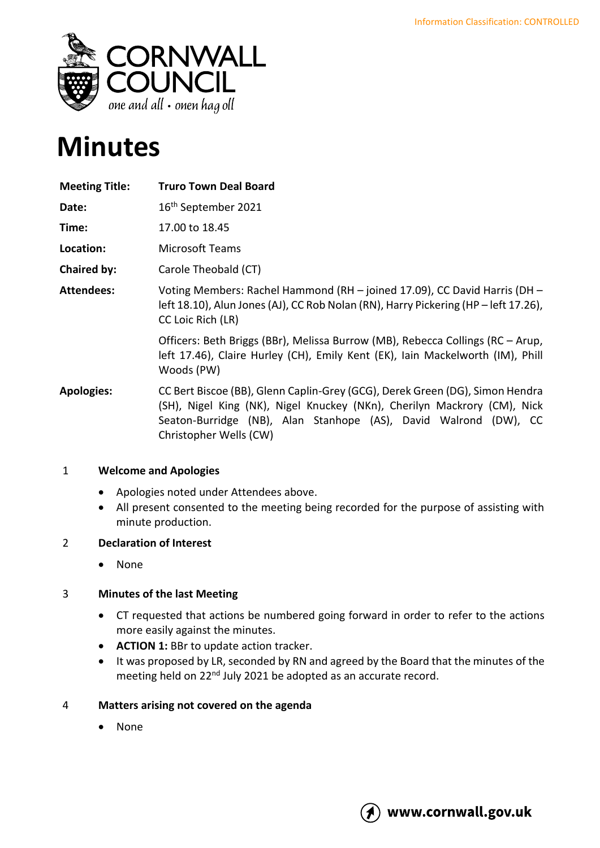

# **Minutes**

| <b>Meeting Title:</b> | <b>Truro Town Deal Board</b>                                                                                                                                                                                                                           |
|-----------------------|--------------------------------------------------------------------------------------------------------------------------------------------------------------------------------------------------------------------------------------------------------|
| Date:                 | 16 <sup>th</sup> September 2021                                                                                                                                                                                                                        |
| Time:                 | 17.00 to 18.45                                                                                                                                                                                                                                         |
| Location:             | <b>Microsoft Teams</b>                                                                                                                                                                                                                                 |
| Chaired by:           | Carole Theobald (CT)                                                                                                                                                                                                                                   |
| <b>Attendees:</b>     | Voting Members: Rachel Hammond (RH - joined 17.09), CC David Harris (DH -<br>left 18.10), Alun Jones (AJ), CC Rob Nolan (RN), Harry Pickering (HP – left 17.26),<br>CC Loic Rich (LR)                                                                  |
|                       | Officers: Beth Briggs (BBr), Melissa Burrow (MB), Rebecca Collings (RC – Arup,<br>left 17.46), Claire Hurley (CH), Emily Kent (EK), Iain Mackelworth (IM), Phill<br>Woods (PW)                                                                         |
| <b>Apologies:</b>     | CC Bert Biscoe (BB), Glenn Caplin-Grey (GCG), Derek Green (DG), Simon Hendra<br>(SH), Nigel King (NK), Nigel Knuckey (NKn), Cherilyn Mackrory (CM), Nick<br>Seaton-Burridge (NB), Alan Stanhope (AS), David Walrond (DW), CC<br>Christopher Wells (CW) |

# 1 **Welcome and Apologies**

- Apologies noted under Attendees above.
- All present consented to the meeting being recorded for the purpose of assisting with minute production.

## 2 **Declaration of Interest**

• None

## 3 **Minutes of the last Meeting**

- CT requested that actions be numbered going forward in order to refer to the actions more easily against the minutes.
- **ACTION 1:** BBr to update action tracker.
- It was proposed by LR, seconded by RN and agreed by the Board that the minutes of the meeting held on 22<sup>nd</sup> July 2021 be adopted as an accurate record.

## 4 **Matters arising not covered on the agenda**

• None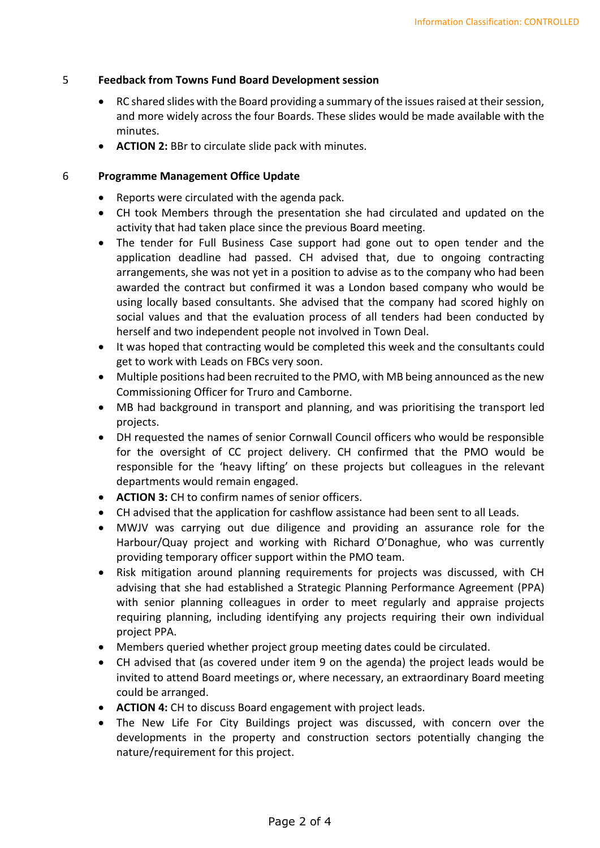#### 5 **Feedback from Towns Fund Board Development session**

- RC shared slides with the Board providing a summary of the issues raised at their session, and more widely across the four Boards. These slides would be made available with the minutes.
- **ACTION 2:** BBr to circulate slide pack with minutes.

#### 6 **Programme Management Office Update**

- Reports were circulated with the agenda pack.
- CH took Members through the presentation she had circulated and updated on the activity that had taken place since the previous Board meeting.
- The tender for Full Business Case support had gone out to open tender and the application deadline had passed. CH advised that, due to ongoing contracting arrangements, she was not yet in a position to advise as to the company who had been awarded the contract but confirmed it was a London based company who would be using locally based consultants. She advised that the company had scored highly on social values and that the evaluation process of all tenders had been conducted by herself and two independent people not involved in Town Deal.
- It was hoped that contracting would be completed this week and the consultants could get to work with Leads on FBCs very soon.
- Multiple positions had been recruited to the PMO, with MB being announced as the new Commissioning Officer for Truro and Camborne.
- MB had background in transport and planning, and was prioritising the transport led projects.
- DH requested the names of senior Cornwall Council officers who would be responsible for the oversight of CC project delivery. CH confirmed that the PMO would be responsible for the 'heavy lifting' on these projects but colleagues in the relevant departments would remain engaged.
- **ACTION 3:** CH to confirm names of senior officers.
- CH advised that the application for cashflow assistance had been sent to all Leads.
- MWJV was carrying out due diligence and providing an assurance role for the Harbour/Quay project and working with Richard O'Donaghue, who was currently providing temporary officer support within the PMO team.
- Risk mitigation around planning requirements for projects was discussed, with CH advising that she had established a Strategic Planning Performance Agreement (PPA) with senior planning colleagues in order to meet regularly and appraise projects requiring planning, including identifying any projects requiring their own individual project PPA.
- Members queried whether project group meeting dates could be circulated.
- CH advised that (as covered under item 9 on the agenda) the project leads would be invited to attend Board meetings or, where necessary, an extraordinary Board meeting could be arranged.
- **ACTION 4:** CH to discuss Board engagement with project leads.
- The New Life For City Buildings project was discussed, with concern over the developments in the property and construction sectors potentially changing the nature/requirement for this project.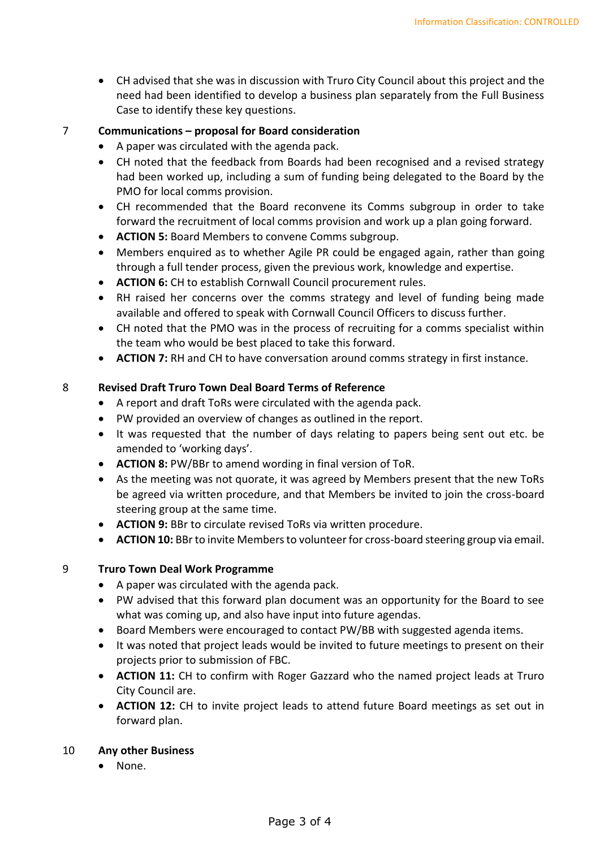• CH advised that she was in discussion with Truro City Council about this project and the need had been identified to develop a business plan separately from the Full Business Case to identify these key questions.

#### 7 **Communications – proposal for Board consideration**

- A paper was circulated with the agenda pack.
- CH noted that the feedback from Boards had been recognised and a revised strategy had been worked up, including a sum of funding being delegated to the Board by the PMO for local comms provision.
- CH recommended that the Board reconvene its Comms subgroup in order to take forward the recruitment of local comms provision and work up a plan going forward.
- **ACTION 5:** Board Members to convene Comms subgroup.
- Members enquired as to whether Agile PR could be engaged again, rather than going through a full tender process, given the previous work, knowledge and expertise.
- **ACTION 6:** CH to establish Cornwall Council procurement rules.
- RH raised her concerns over the comms strategy and level of funding being made available and offered to speak with Cornwall Council Officers to discuss further.
- CH noted that the PMO was in the process of recruiting for a comms specialist within the team who would be best placed to take this forward.
- **ACTION 7:** RH and CH to have conversation around comms strategy in first instance.

#### 8 **Revised Draft Truro Town Deal Board Terms of Reference**

- A report and draft ToRs were circulated with the agenda pack.
- PW provided an overview of changes as outlined in the report.
- It was requested that the number of days relating to papers being sent out etc. be amended to 'working days'.
- **ACTION 8:** PW/BBr to amend wording in final version of ToR.
- As the meeting was not quorate, it was agreed by Members present that the new ToRs be agreed via written procedure, and that Members be invited to join the cross-board steering group at the same time.
- **ACTION 9:** BBr to circulate revised ToRs via written procedure.
- **ACTION 10:** BBr to invite Members to volunteer for cross-board steering group via email.

#### 9 **Truro Town Deal Work Programme**

- A paper was circulated with the agenda pack.
- PW advised that this forward plan document was an opportunity for the Board to see what was coming up, and also have input into future agendas.
- Board Members were encouraged to contact PW/BB with suggested agenda items.
- It was noted that project leads would be invited to future meetings to present on their projects prior to submission of FBC.
- **ACTION 11:** CH to confirm with Roger Gazzard who the named project leads at Truro City Council are.
- **ACTION 12:** CH to invite project leads to attend future Board meetings as set out in forward plan.

#### 10 **Any other Business**

• None.